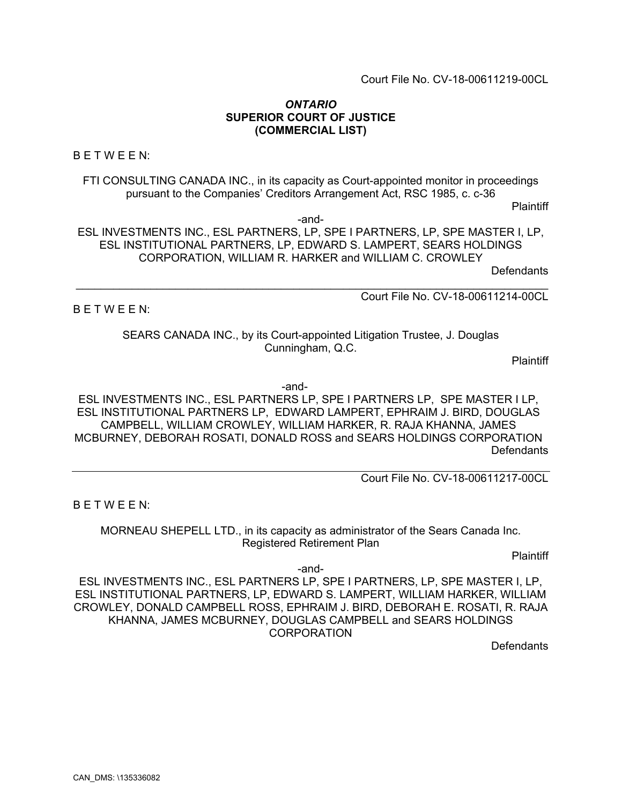## *ONTARIO* **SUPERIOR COURT OF JUSTICE (COMMERCIAL LIST)**

B E T W E E N:

FTI CONSULTING CANADA INC., in its capacity as Court-appointed monitor in proceedings pursuant to the Companies' Creditors Arrangement Act, RSC 1985, c. c-36

**Plaintiff** 

-and-

ESL INVESTMENTS INC., ESL PARTNERS, LP, SPE I PARTNERS, LP, SPE MASTER I, LP, ESL INSTITUTIONAL PARTNERS, LP, EDWARD S. LAMPERT, SEARS HOLDINGS CORPORATION, WILLIAM R. HARKER and WILLIAM C. CROWLEY

**Defendants** 

Court File No. CV-18-00611214-00CL

B E T W E E N:

SEARS CANADA INC., by its Court-appointed Litigation Trustee, J. Douglas Cunningham, Q.C.

**Plaintiff** 

-and-

ESL INVESTMENTS INC., ESL PARTNERS LP, SPE I PARTNERS LP, SPE MASTER I LP, ESL INSTITUTIONAL PARTNERS LP, EDWARD LAMPERT, EPHRAIM J. BIRD, DOUGLAS CAMPBELL, WILLIAM CROWLEY, WILLIAM HARKER, R. RAJA KHANNA, JAMES MCBURNEY, DEBORAH ROSATI, DONALD ROSS and SEARS HOLDINGS CORPORATION **Defendants** 

Court File No. CV-18-00611217-00CL

B E T W E E N:

MORNEAU SHEPELL LTD., in its capacity as administrator of the Sears Canada Inc. Registered Retirement Plan

**Plaintiff** 

-and-

ESL INVESTMENTS INC., ESL PARTNERS LP, SPE I PARTNERS, LP, SPE MASTER I, LP, ESL INSTITUTIONAL PARTNERS, LP, EDWARD S. LAMPERT, WILLIAM HARKER, WILLIAM CROWLEY, DONALD CAMPBELL ROSS, EPHRAIM J. BIRD, DEBORAH E. ROSATI, R. RAJA KHANNA, JAMES MCBURNEY, DOUGLAS CAMPBELL and SEARS HOLDINGS CORPORATION

**Defendants**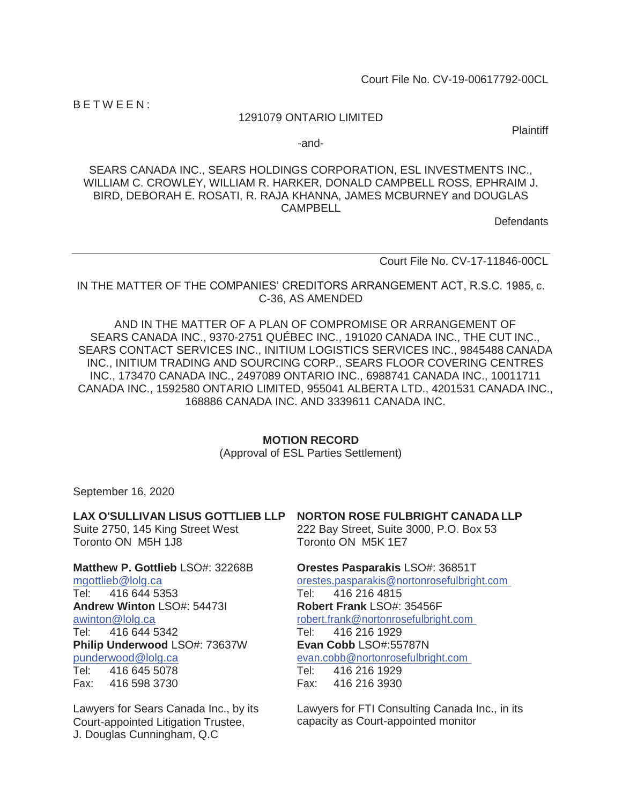Court File No. CV-19-00617792-00CL

B E T W E E N :

#### 1291079 ONTARIO LIMITED

**Plaintiff** 

-and-

SEARS CANADA INC., SEARS HOLDINGS CORPORATION, ESL INVESTMENTS INC., WILLIAM C. CROWLEY, WILLIAM R. HARKER, DONALD CAMPBELL ROSS, EPHRAIM J. BIRD, DEBORAH E. ROSATI, R. RAJA KHANNA, JAMES MCBURNEY and DOUGLAS CAMPBELL

**Defendants** 

Court File No. CV-17-11846-00CL

IN THE MATTER OF THE COMPANIES' CREDITORS ARRANGEMENT ACT, R.S.C. 1985, c. C-36, AS AMENDED

AND IN THE MATTER OF A PLAN OF COMPROMISE OR ARRANGEMENT OF SEARS CANADA INC., 9370-2751 QUÉBEC INC., 191020 CANADA INC., THE CUT INC., SEARS CONTACT SERVICES INC., INITIUM LOGISTICS SERVICES INC., 9845488 CANADA INC., INITIUM TRADING AND SOURCING CORP., SEARS FLOOR COVERING CENTRES INC., 173470 CANADA INC., 2497089 ONTARIO INC., 6988741 CANADA INC., 10011711 CANADA INC., 1592580 ONTARIO LIMITED, 955041 ALBERTA LTD., 4201531 CANADA INC., 168886 CANADA INC. AND 3339611 CANADA INC.

#### **MOTION RECORD**

(Approval of ESL Parties Settlement)

September 16, 2020

## **LAX O'SULLIVAN LISUS GOTTLIEB LLP NORTON ROSE FULBRIGHT CANADA LLP**

Suite 2750, 145 King Street West Toronto ON M5H 1J8

#### **Matthew P. Gottlieb** LSO#: 32268B mgottlieb@lolg.ca Tel: 416 644 5353 **Andrew Winton** LSO#: 54473I awinton@lolg.ca Tel: 416 644 5342

**Philip Underwood** LSO#: 73637W punderwood@lolg.ca Tel: 416 645 5078 Fax: 416 598 3730

Lawyers for Sears Canada Inc., by its Court-appointed Litigation Trustee, J. Douglas Cunningham, Q.C

# 222 Bay Street, Suite 3000, P.O. Box 53

Toronto ON M5K 1E7

#### **Orestes Pasparakis** LSO#: 36851T orestes.pasparakis@nortonrosefulbright.com Tel: 416 216 4815 **Robert Frank** LSO#: 35456F

robert.frank@nortonrosefulbright.com Tel: 416 216 1929 **Evan Cobb** LSO#:55787N evan.cobb@nortonrosefulbright.com

Tel: 416 216 1929 Fax: 416 216 3930

Lawyers for FTI Consulting Canada Inc., in its capacity as Court-appointed monitor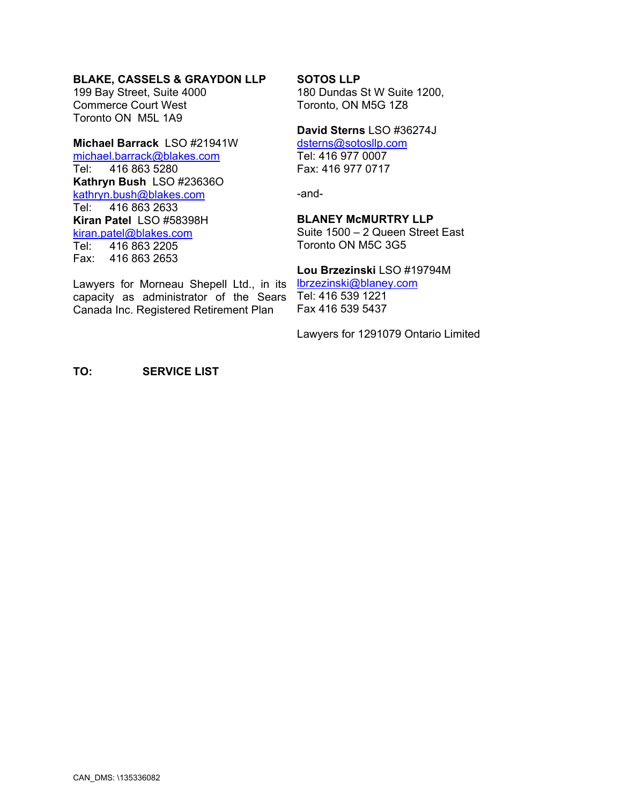## **BLAKE, CASSELS & GRAYDON LLP**

199 Bay Street, Suite 4000 Commerce Court West Toronto ON M5L 1A9

## **Michael Barrack** LSO #21941W michael.barrack@blakes.com

Tel: 416 863 5280 **Kathryn Bush** LSO #23636O kathryn.bush@blakes.com Tel: 416 863 2633 **Kiran Patel** LSO #58398H kiran.patel@blakes.com Tel: 416 863 2205 Fax: 416 863 2653

Lawyers for Morneau Shepell Ltd., in its capacity as administrator of the Sears Tel: 416 539 1221 Canada Inc. Registered Retirement Plan

#### **SOTOS LLP**

180 Dundas St W Suite 1200, Toronto, ON M5G 1Z8

#### **David Sterns** LSO #36274J

dsterns@sotosllp.com Tel: 416 977 0007 Fax: 416 977 0717

-and-

#### **BLANEY McMURTRY LLP**

Suite 1500 – 2 Queen Street East Toronto ON M5C 3G5

#### **Lou Brzezinski** LSO #19794M

lbrzezinski@blaney.com Fax 416 539 5437

Lawyers for 1291079 Ontario Limited

**TO: SERVICE LIST**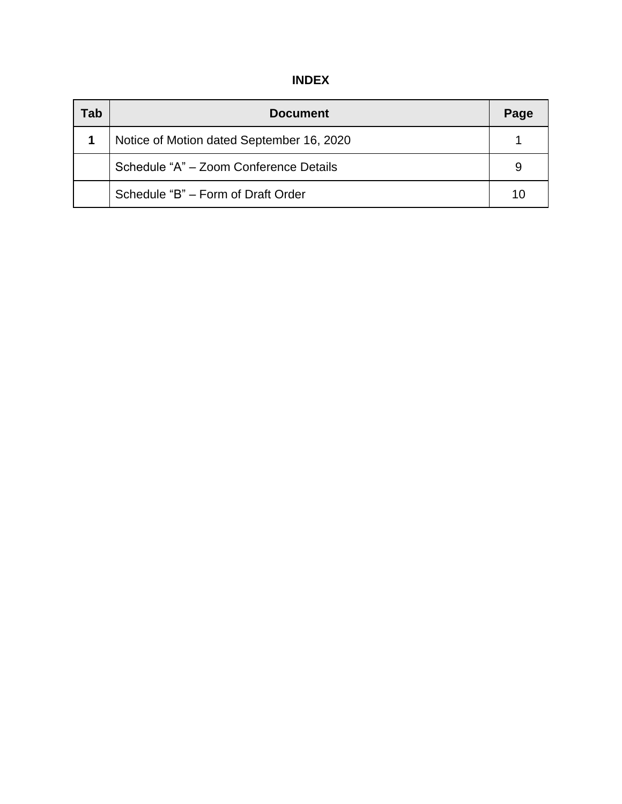## **INDEX**

| Tab | <b>Document</b>                           |    |  |  |  |  |
|-----|-------------------------------------------|----|--|--|--|--|
|     | Notice of Motion dated September 16, 2020 |    |  |  |  |  |
|     | Schedule "A" – Zoom Conference Details    | 9  |  |  |  |  |
|     | Schedule "B" - Form of Draft Order        | 10 |  |  |  |  |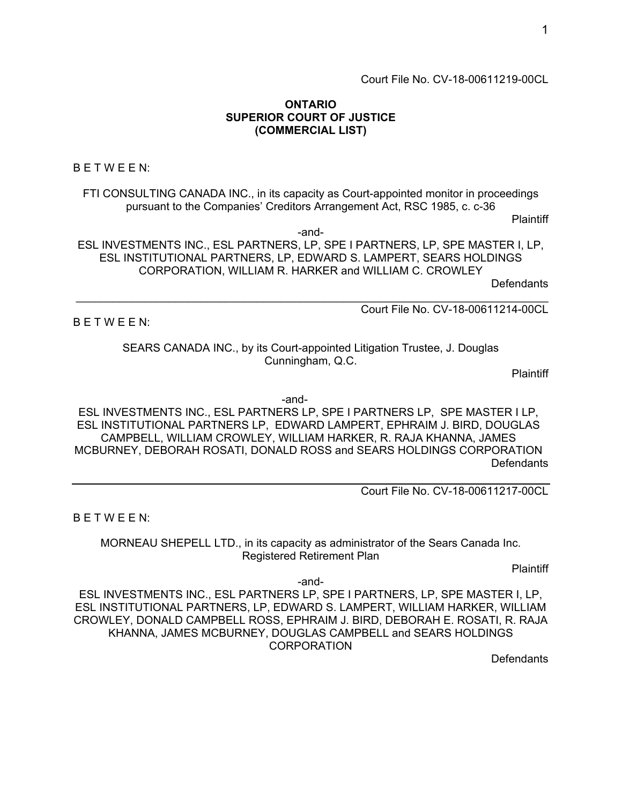Court File No. CV-18-00611219-00CL

#### **ONTARIO SUPERIOR COURT OF JUSTICE (COMMERCIAL LIST)**

B E T W E E N:

FTI CONSULTING CANADA INC., in its capacity as Court-appointed monitor in proceedings pursuant to the Companies' Creditors Arrangement Act, RSC 1985, c. c-36

**Plaintiff** 

-and-

ESL INVESTMENTS INC., ESL PARTNERS, LP, SPE I PARTNERS, LP, SPE MASTER I, LP, ESL INSTITUTIONAL PARTNERS, LP, EDWARD S. LAMPERT, SEARS HOLDINGS CORPORATION, WILLIAM R. HARKER and WILLIAM C. CROWLEY

**Defendants** 

 $B$  F T W F F N:

Court File No. CV-18-00611214-00CL

SEARS CANADA INC., by its Court-appointed Litigation Trustee, J. Douglas Cunningham, Q.C.

**Plaintiff** 

-and-

ESL INVESTMENTS INC., ESL PARTNERS LP, SPE I PARTNERS LP, SPE MASTER I LP, ESL INSTITUTIONAL PARTNERS LP, EDWARD LAMPERT, EPHRAIM J. BIRD, DOUGLAS CAMPBELL, WILLIAM CROWLEY, WILLIAM HARKER, R. RAJA KHANNA, JAMES MCBURNEY, DEBORAH ROSATI, DONALD ROSS and SEARS HOLDINGS CORPORATION **Defendants** 

Court File No. CV-18-00611217-00CL

B E T W E E N:

MORNEAU SHEPELL LTD., in its capacity as administrator of the Sears Canada Inc. Registered Retirement Plan

-and-

Plaintiff

ESL INVESTMENTS INC., ESL PARTNERS LP, SPE I PARTNERS, LP, SPE MASTER I, LP, ESL INSTITUTIONAL PARTNERS, LP, EDWARD S. LAMPERT, WILLIAM HARKER, WILLIAM CROWLEY, DONALD CAMPBELL ROSS, EPHRAIM J. BIRD, DEBORAH E. ROSATI, R. RAJA KHANNA, JAMES MCBURNEY, DOUGLAS CAMPBELL and SEARS HOLDINGS CORPORATION

**Defendants**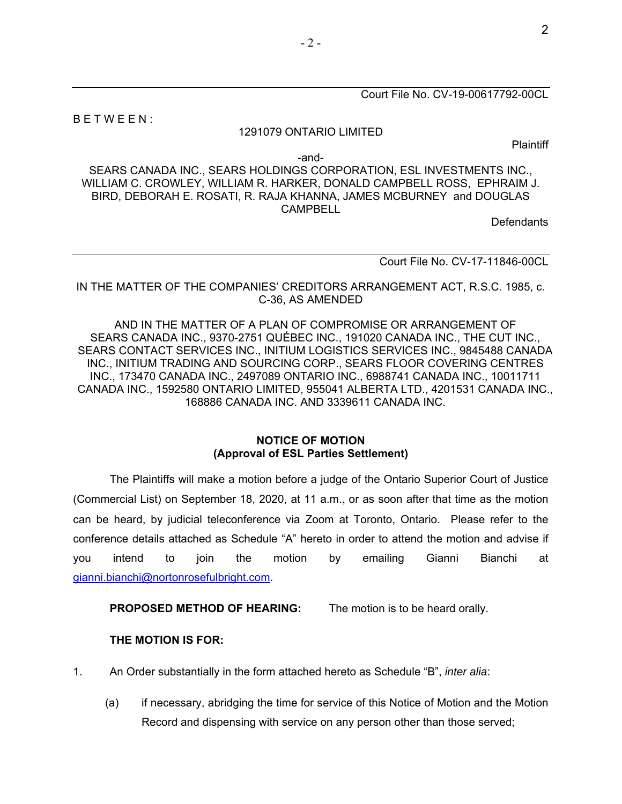BETWEEN:

#### 1291079 ONTARIO LIMITED

**Plaintiff** 

-and-

SEARS CANADA INC., SEARS HOLDINGS CORPORATION, ESL INVESTMENTS INC., WILLIAM C. CROWLEY, WILLIAM R. HARKER, DONALD CAMPBELL ROSS, EPHRAIM J. BIRD, DEBORAH E. ROSATI, R. RAJA KHANNA, JAMES MCBURNEY and DOUGLAS CAMPBELL

**Defendants** 

Court File No. CV-17-11846-00CL

## IN THE MATTER OF THE COMPANIES' CREDITORS ARRANGEMENT ACT, R.S.C. 1985, c. C-36, AS AMENDED

AND IN THE MATTER OF A PLAN OF COMPROMISE OR ARRANGEMENT OF SEARS CANADA INC., 9370-2751 QUÉBEC INC., 191020 CANADA INC., THE CUT INC., SEARS CONTACT SERVICES INC., INITIUM LOGISTICS SERVICES INC., 9845488 CANADA INC., INITIUM TRADING AND SOURCING CORP., SEARS FLOOR COVERING CENTRES INC., 173470 CANADA INC., 2497089 ONTARIO INC., 6988741 CANADA INC., 10011711 CANADA INC., 1592580 ONTARIO LIMITED, 955041 ALBERTA LTD., 4201531 CANADA INC., 168886 CANADA INC. AND 3339611 CANADA INC.

## **NOTICE OF MOTION (Approval of ESL Parties Settlement)**

The Plaintiffs will make a motion before a judge of the Ontario Superior Court of Justice (Commercial List) on September 18, 2020, at 11 a.m., or as soon after that time as the motion can be heard, by judicial teleconference via Zoom at Toronto, Ontario. Please refer to the conference details attached as Schedule "A" hereto in order to attend the motion and advise if you intend to join the motion by emailing Gianni Bianchi at gianni.bianchi@nortonrosefulbright.com.

## **PROPOSED METHOD OF HEARING:** The motion is to be heard orally.

## **THE MOTION IS FOR:**

- 1. An Order substantially in the form attached hereto as Schedule "B", *inter alia*:
	- (a) if necessary, abridging the time for service of this Notice of Motion and the Motion Record and dispensing with service on any person other than those served;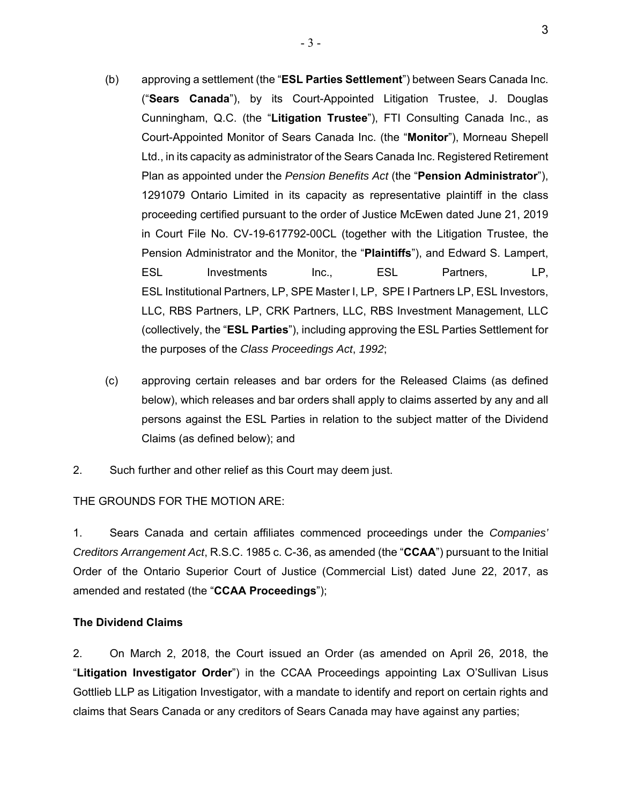- (b) approving a settlement (the "**ESL Parties Settlement**") between Sears Canada Inc. ("**Sears Canada**"), by its Court-Appointed Litigation Trustee, J. Douglas Cunningham, Q.C. (the "**Litigation Trustee**"), FTI Consulting Canada Inc., as Court-Appointed Monitor of Sears Canada Inc. (the "**Monitor**"), Morneau Shepell Ltd., in its capacity as administrator of the Sears Canada Inc. Registered Retirement Plan as appointed under the *Pension Benefits Act* (the "**Pension Administrator**"), 1291079 Ontario Limited in its capacity as representative plaintiff in the class proceeding certified pursuant to the order of Justice McEwen dated June 21, 2019 in Court File No. CV-19-617792-00CL (together with the Litigation Trustee, the Pension Administrator and the Monitor, the "**Plaintiffs**"), and Edward S. Lampert, ESL Investments Inc., ESL Partners, LP, ESL Institutional Partners, LP, SPE Master I, LP, SPE I Partners LP, ESL Investors, LLC, RBS Partners, LP, CRK Partners, LLC, RBS Investment Management, LLC (collectively, the "**ESL Parties**"), including approving the ESL Parties Settlement for the purposes of the *Class Proceedings Act*, *1992*;
- (c) approving certain releases and bar orders for the Released Claims (as defined below), which releases and bar orders shall apply to claims asserted by any and all persons against the ESL Parties in relation to the subject matter of the Dividend Claims (as defined below); and
- 2. Such further and other relief as this Court may deem just.

THE GROUNDS FOR THE MOTION ARE:

1. Sears Canada and certain affiliates commenced proceedings under the *Companies' Creditors Arrangement Act*, R.S.C. 1985 c. C-36, as amended (the "**CCAA**") pursuant to the Initial Order of the Ontario Superior Court of Justice (Commercial List) dated June 22, 2017, as amended and restated (the "**CCAA Proceedings**");

## **The Dividend Claims**

2. On March 2, 2018, the Court issued an Order (as amended on April 26, 2018, the "**Litigation Investigator Order**") in the CCAA Proceedings appointing Lax O'Sullivan Lisus Gottlieb LLP as Litigation Investigator, with a mandate to identify and report on certain rights and claims that Sears Canada or any creditors of Sears Canada may have against any parties;

3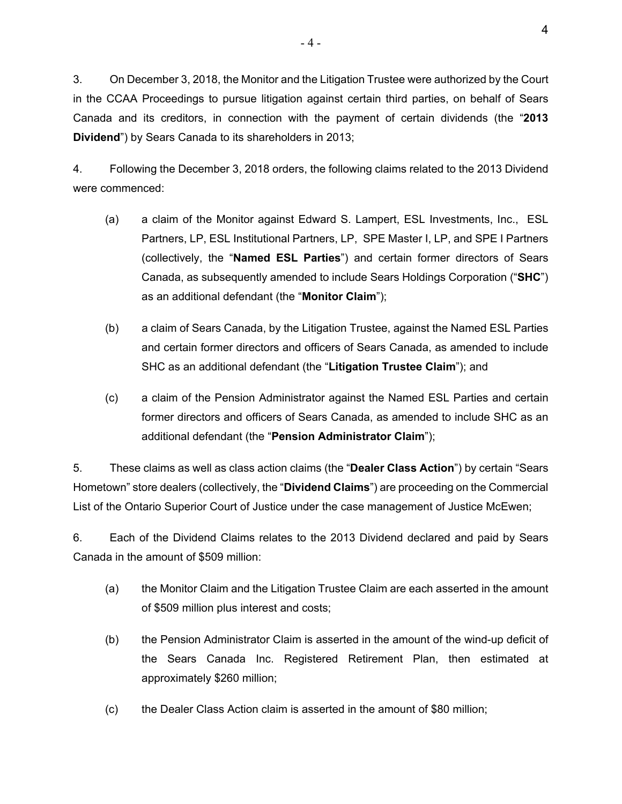3. On December 3, 2018, the Monitor and the Litigation Trustee were authorized by the Court in the CCAA Proceedings to pursue litigation against certain third parties, on behalf of Sears Canada and its creditors, in connection with the payment of certain dividends (the "**2013 Dividend**") by Sears Canada to its shareholders in 2013;

4. Following the December 3, 2018 orders, the following claims related to the 2013 Dividend were commenced:

- (a) a claim of the Monitor against Edward S. Lampert, ESL Investments, Inc., ESL Partners, LP, ESL Institutional Partners, LP, SPE Master I, LP, and SPE I Partners (collectively, the "**Named ESL Parties**") and certain former directors of Sears Canada, as subsequently amended to include Sears Holdings Corporation ("**SHC**") as an additional defendant (the "**Monitor Claim**");
- (b) a claim of Sears Canada, by the Litigation Trustee, against the Named ESL Parties and certain former directors and officers of Sears Canada, as amended to include SHC as an additional defendant (the "**Litigation Trustee Claim**"); and
- (c) a claim of the Pension Administrator against the Named ESL Parties and certain former directors and officers of Sears Canada, as amended to include SHC as an additional defendant (the "**Pension Administrator Claim**");

5. These claims as well as class action claims (the "**Dealer Class Action**") by certain "Sears Hometown" store dealers (collectively, the "**Dividend Claims**") are proceeding on the Commercial List of the Ontario Superior Court of Justice under the case management of Justice McEwen;

6. Each of the Dividend Claims relates to the 2013 Dividend declared and paid by Sears Canada in the amount of \$509 million:

- (a) the Monitor Claim and the Litigation Trustee Claim are each asserted in the amount of \$509 million plus interest and costs;
- (b) the Pension Administrator Claim is asserted in the amount of the wind-up deficit of the Sears Canada Inc. Registered Retirement Plan, then estimated at approximately \$260 million;
- (c) the Dealer Class Action claim is asserted in the amount of \$80 million;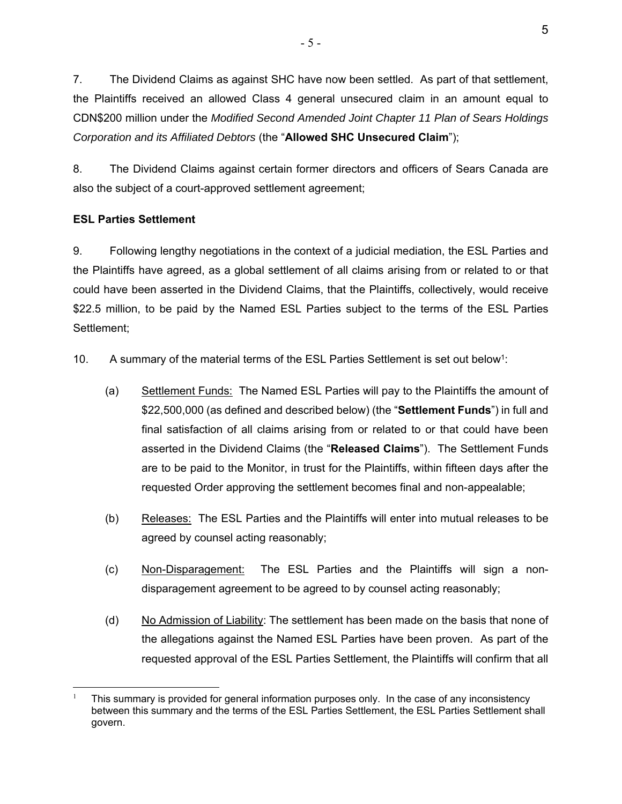7. The Dividend Claims as against SHC have now been settled. As part of that settlement, the Plaintiffs received an allowed Class 4 general unsecured claim in an amount equal to CDN\$200 million under the *Modified Second Amended Joint Chapter 11 Plan of Sears Holdings Corporation and its Affiliated Debtors* (the "**Allowed SHC Unsecured Claim**");

8. The Dividend Claims against certain former directors and officers of Sears Canada are also the subject of a court-approved settlement agreement;

## **ESL Parties Settlement**

9. Following lengthy negotiations in the context of a judicial mediation, the ESL Parties and the Plaintiffs have agreed, as a global settlement of all claims arising from or related to or that could have been asserted in the Dividend Claims, that the Plaintiffs, collectively, would receive \$22.5 million, to be paid by the Named ESL Parties subject to the terms of the ESL Parties Settlement;

- 10. A summary of the material terms of the ESL Parties Settlement is set out below1:
	- (a) Settlement Funds: The Named ESL Parties will pay to the Plaintiffs the amount of \$22,500,000 (as defined and described below) (the "**Settlement Funds**") in full and final satisfaction of all claims arising from or related to or that could have been asserted in the Dividend Claims (the "**Released Claims**"). The Settlement Funds are to be paid to the Monitor, in trust for the Plaintiffs, within fifteen days after the requested Order approving the settlement becomes final and non-appealable;
	- (b) Releases: The ESL Parties and the Plaintiffs will enter into mutual releases to be agreed by counsel acting reasonably;
	- (c) Non-Disparagement: The ESL Parties and the Plaintiffs will sign a nondisparagement agreement to be agreed to by counsel acting reasonably;
	- (d) No Admission of Liability: The settlement has been made on the basis that none of the allegations against the Named ESL Parties have been proven. As part of the requested approval of the ESL Parties Settlement, the Plaintiffs will confirm that all

 $\overline{a}$ 1 This summary is provided for general information purposes only. In the case of any inconsistency between this summary and the terms of the ESL Parties Settlement, the ESL Parties Settlement shall govern.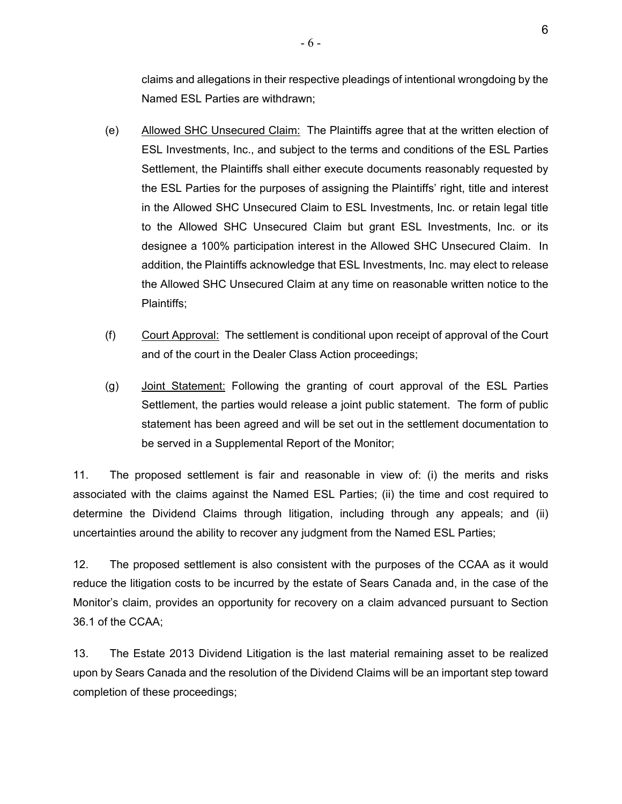claims and allegations in their respective pleadings of intentional wrongdoing by the Named ESL Parties are withdrawn;

- (e) Allowed SHC Unsecured Claim: The Plaintiffs agree that at the written election of ESL Investments, Inc., and subject to the terms and conditions of the ESL Parties Settlement, the Plaintiffs shall either execute documents reasonably requested by the ESL Parties for the purposes of assigning the Plaintiffs' right, title and interest in the Allowed SHC Unsecured Claim to ESL Investments, Inc. or retain legal title to the Allowed SHC Unsecured Claim but grant ESL Investments, Inc. or its designee a 100% participation interest in the Allowed SHC Unsecured Claim. In addition, the Plaintiffs acknowledge that ESL Investments, Inc. may elect to release the Allowed SHC Unsecured Claim at any time on reasonable written notice to the Plaintiffs;
- (f) Court Approval: The settlement is conditional upon receipt of approval of the Court and of the court in the Dealer Class Action proceedings;
- (g) Joint Statement: Following the granting of court approval of the ESL Parties Settlement, the parties would release a joint public statement. The form of public statement has been agreed and will be set out in the settlement documentation to be served in a Supplemental Report of the Monitor;

11. The proposed settlement is fair and reasonable in view of: (i) the merits and risks associated with the claims against the Named ESL Parties; (ii) the time and cost required to determine the Dividend Claims through litigation, including through any appeals; and (ii) uncertainties around the ability to recover any judgment from the Named ESL Parties;

12. The proposed settlement is also consistent with the purposes of the CCAA as it would reduce the litigation costs to be incurred by the estate of Sears Canada and, in the case of the Monitor's claim, provides an opportunity for recovery on a claim advanced pursuant to Section 36.1 of the CCAA;

13. The Estate 2013 Dividend Litigation is the last material remaining asset to be realized upon by Sears Canada and the resolution of the Dividend Claims will be an important step toward completion of these proceedings;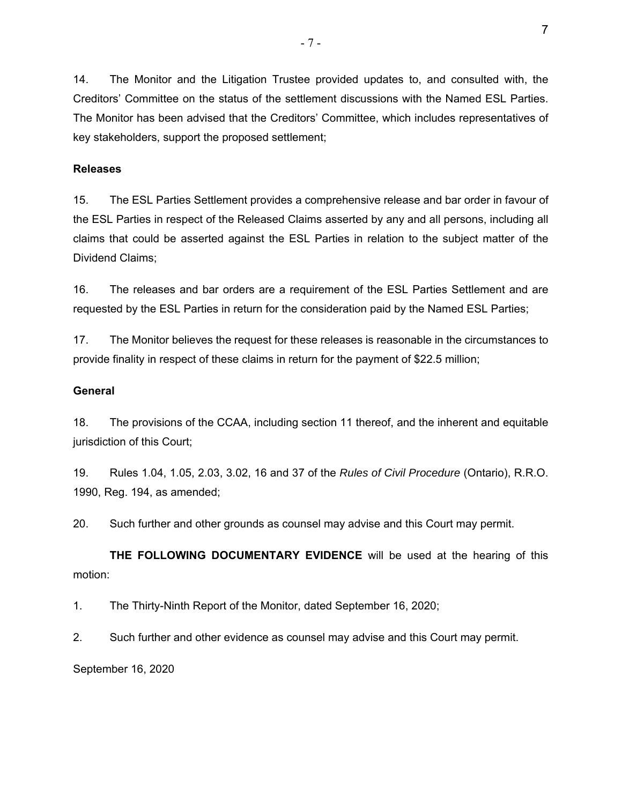14. The Monitor and the Litigation Trustee provided updates to, and consulted with, the Creditors' Committee on the status of the settlement discussions with the Named ESL Parties. The Monitor has been advised that the Creditors' Committee, which includes representatives of key stakeholders, support the proposed settlement;

## **Releases**

15. The ESL Parties Settlement provides a comprehensive release and bar order in favour of the ESL Parties in respect of the Released Claims asserted by any and all persons, including all claims that could be asserted against the ESL Parties in relation to the subject matter of the Dividend Claims;

16. The releases and bar orders are a requirement of the ESL Parties Settlement and are requested by the ESL Parties in return for the consideration paid by the Named ESL Parties;

17. The Monitor believes the request for these releases is reasonable in the circumstances to provide finality in respect of these claims in return for the payment of \$22.5 million;

## **General**

18. The provisions of the CCAA, including section 11 thereof, and the inherent and equitable jurisdiction of this Court;

19. Rules 1.04, 1.05, 2.03, 3.02, 16 and 37 of the *Rules of Civil Procedure* (Ontario), R.R.O. 1990, Reg. 194, as amended;

20. Such further and other grounds as counsel may advise and this Court may permit.

**THE FOLLOWING DOCUMENTARY EVIDENCE** will be used at the hearing of this motion:

1. The Thirty-Ninth Report of the Monitor, dated September 16, 2020;

2. Such further and other evidence as counsel may advise and this Court may permit.

September 16, 2020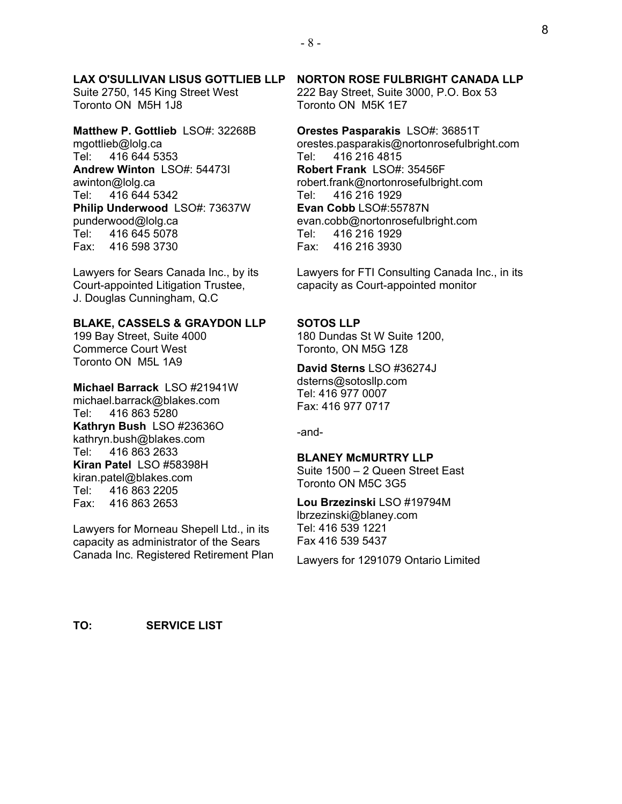## **LAX O'SULLIVAN LISUS GOTTLIEB LLP**

Suite 2750, 145 King Street West Toronto ON M5H 1J8

#### **Matthew P. Gottlieb** LSO#: 32268B mgottlieb@lolg.ca Tel: 416 644 5353

**Andrew Winton** LSO#: 54473I awinton@lolg.ca Tel: 416 644 5342 **Philip Underwood** LSO#: 73637W punderwood@lolg.ca Tel: 416 645 5078 Fax: 416 598 3730

Lawyers for Sears Canada Inc., by its Court-appointed Litigation Trustee, J. Douglas Cunningham, Q.C

## **BLAKE, CASSELS & GRAYDON LLP**

199 Bay Street, Suite 4000 Commerce Court West Toronto ON M5L 1A9

**Michael Barrack** LSO #21941W michael.barrack@blakes.com Tel: 416 863 5280 **Kathryn Bush** LSO #23636O kathryn.bush@blakes.com Tel: 416 863 2633 **Kiran Patel** LSO #58398H kiran.patel@blakes.com Tel: 416 863 2205 Fax: 416 863 2653

Lawyers for Morneau Shepell Ltd., in its capacity as administrator of the Sears Canada Inc. Registered Retirement Plan

#### **NORTON ROSE FULBRIGHT CANADA LLP**

222 Bay Street, Suite 3000, P.O. Box 53 Toronto ON M5K 1E7

**Orestes Pasparakis** LSO#: 36851T orestes.pasparakis@nortonrosefulbright.com Tel: 416 216 4815 **Robert Frank** LSO#: 35456F robert.frank@nortonrosefulbright.com Tel: 416 216 1929 **Evan Cobb** LSO#:55787N evan.cobb@nortonrosefulbright.com Tel: 416 216 1929 Fax: 416 216 3930

Lawyers for FTI Consulting Canada Inc., in its capacity as Court-appointed monitor

#### **SOTOS LLP**

- 8 -

180 Dundas St W Suite 1200, Toronto, ON M5G 1Z8

## **David Sterns** LSO #36274J

dsterns@sotosllp.com Tel: 416 977 0007 Fax: 416 977 0717

-and-

#### **BLANEY McMURTRY LLP**

Suite 1500 – 2 Queen Street East Toronto ON M5C 3G5

#### **Lou Brzezinski** LSO #19794M

lbrzezinski@blaney.com Tel: 416 539 1221 Fax 416 539 5437

Lawyers for 1291079 Ontario Limited

8

**TO: SERVICE LIST**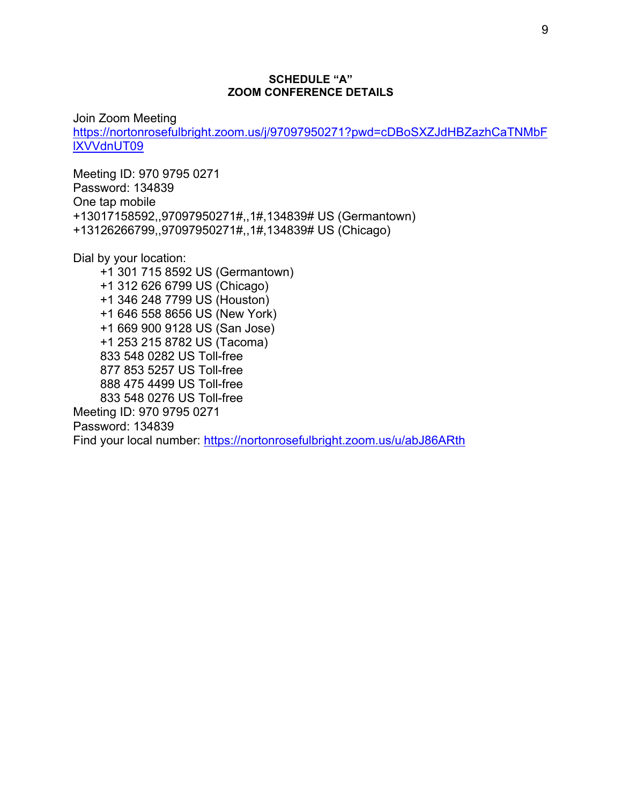## **SCHEDULE "A" ZOOM CONFERENCE DETAILS**

Join Zoom Meeting

https://nortonrosefulbright.zoom.us/j/97097950271?pwd=cDBoSXZJdHBZazhCaTNMbF lXVVdnUT09

Meeting ID: 970 9795 0271 Password: 134839 One tap mobile +13017158592,,97097950271#,,1#,134839# US (Germantown) +13126266799,,97097950271#,,1#,134839# US (Chicago)

Dial by your location:

 +1 301 715 8592 US (Germantown) +1 312 626 6799 US (Chicago) +1 346 248 7799 US (Houston) +1 646 558 8656 US (New York) +1 669 900 9128 US (San Jose) +1 253 215 8782 US (Tacoma) 833 548 0282 US Toll-free 877 853 5257 US Toll-free 888 475 4499 US Toll-free 833 548 0276 US Toll-free Meeting ID: 970 9795 0271 Password: 134839 Find your local number: https://nortonrosefulbright.zoom.us/u/abJ86ARth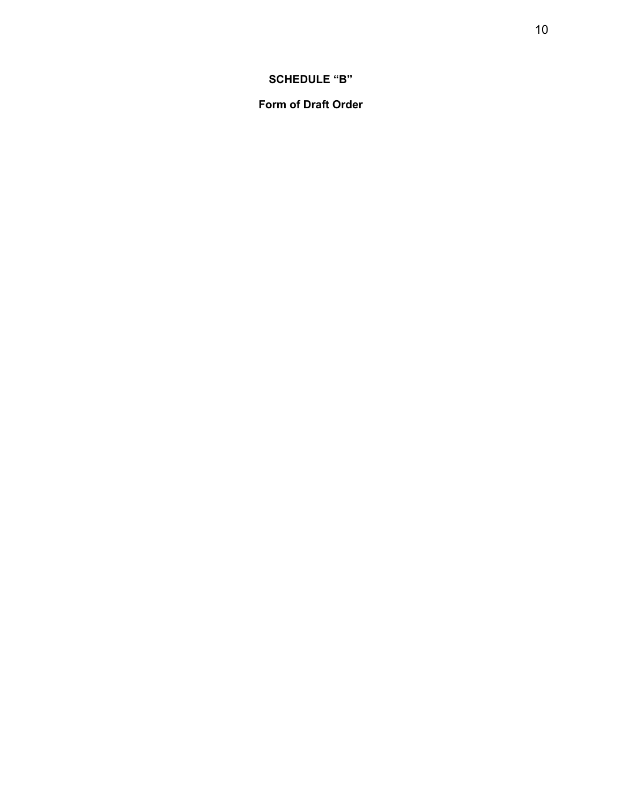## **SCHEDULE "B"**

## **Form of Draft Order**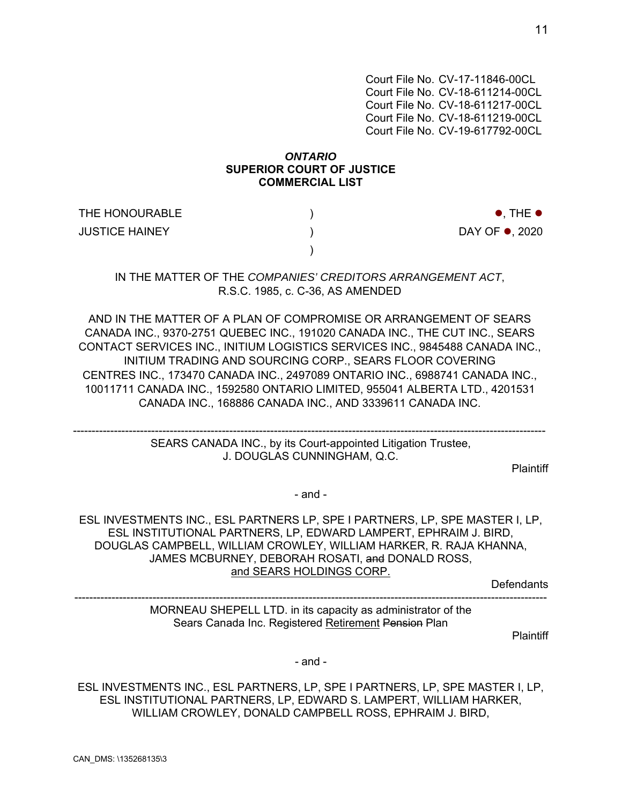Court File No. CV-17-11846-00CL Court File No. CV-18-611214-00CL Court File No. CV-18-611217-00CL Court File No. CV-18-611219-00CL Court File No. CV-19-617792-00CL

## *ONTARIO*  **SUPERIOR COURT OF JUSTICE COMMERCIAL LIST**

| THE HONOURABLE        | $\bullet$ , the $\bullet$ |
|-----------------------|---------------------------|
| <b>JUSTICE HAINEY</b> | DAY OF ●, 2020            |
|                       |                           |

## IN THE MATTER OF THE *COMPANIES' CREDITORS ARRANGEMENT ACT*, R.S.C. 1985, c. C-36, AS AMENDED

AND IN THE MATTER OF A PLAN OF COMPROMISE OR ARRANGEMENT OF SEARS CANADA INC., 9370-2751 QUEBEC INC., 191020 CANADA INC., THE CUT INC., SEARS CONTACT SERVICES INC., INITIUM LOGISTICS SERVICES INC., 9845488 CANADA INC., INITIUM TRADING AND SOURCING CORP., SEARS FLOOR COVERING CENTRES INC., 173470 CANADA INC., 2497089 ONTARIO INC., 6988741 CANADA INC., 10011711 CANADA INC., 1592580 ONTARIO LIMITED, 955041 ALBERTA LTD., 4201531 CANADA INC., 168886 CANADA INC., AND 3339611 CANADA INC.

------------------------------------------------------------------------------------------------------------------------------- SEARS CANADA INC., by its Court-appointed Litigation Trustee, J. DOUGLAS CUNNINGHAM, Q.C.

**Plaintiff** 

- and -

ESL INVESTMENTS INC., ESL PARTNERS LP, SPE I PARTNERS, LP, SPE MASTER I, LP, ESL INSTITUTIONAL PARTNERS, LP, EDWARD LAMPERT, EPHRAIM J. BIRD, DOUGLAS CAMPBELL, WILLIAM CROWLEY, WILLIAM HARKER, R. RAJA KHANNA, JAMES MCBURNEY, DEBORAH ROSATI, and DONALD ROSS, and SEARS HOLDINGS CORP.

**Defendants** 

------------------------------------------------------------------------------------------------------------------------------- MORNEAU SHEPELL LTD. in its capacity as administrator of the Sears Canada Inc. Registered Retirement Pension Plan

**Plaintiff** 

- and -

ESL INVESTMENTS INC., ESL PARTNERS, LP, SPE I PARTNERS, LP, SPE MASTER I, LP, ESL INSTITUTIONAL PARTNERS, LP, EDWARD S. LAMPERT, WILLIAM HARKER, WILLIAM CROWLEY, DONALD CAMPBELL ROSS, EPHRAIM J. BIRD,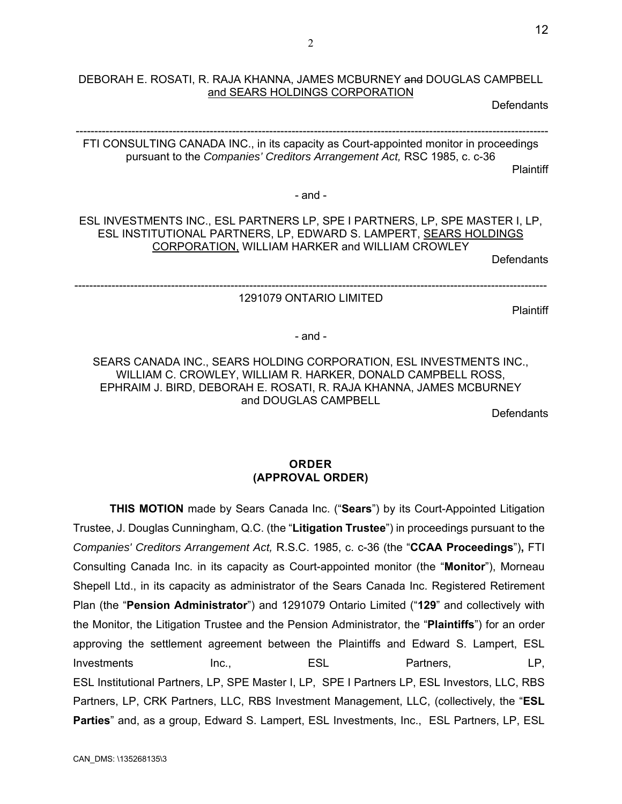## DEBORAH E. ROSATI, R. RAJA KHANNA, JAMES MCBURNEY and DOUGLAS CAMPBELL and SEARS HOLDINGS CORPORATION

Defendants

12

------------------------------------------------------------------------------------------------------------------------------- FTI CONSULTING CANADA INC., in its capacity as Court-appointed monitor in proceedings pursuant to the *Companies' Creditors Arrangement Act,* RSC 1985, c. c-36 **Plaintiff** 

- and -

ESL INVESTMENTS INC., ESL PARTNERS LP, SPE I PARTNERS, LP, SPE MASTER I, LP, ESL INSTITUTIONAL PARTNERS, LP, EDWARD S. LAMPERT, SEARS HOLDINGS CORPORATION, WILLIAM HARKER and WILLIAM CROWLEY

**Defendants** 

#### ------------------------------------------------------------------------------------------------------------------------------- 1291079 ONTARIO LIMITED

**Plaintiff** 

- and -

SEARS CANADA INC., SEARS HOLDING CORPORATION, ESL INVESTMENTS INC., WILLIAM C. CROWLEY, WILLIAM R. HARKER, DONALD CAMPBELL ROSS, EPHRAIM J. BIRD, DEBORAH E. ROSATI, R. RAJA KHANNA, JAMES MCBURNEY and DOUGLAS CAMPBELL

**Defendants** 

## **ORDER (APPROVAL ORDER)**

**THIS MOTION** made by Sears Canada Inc. ("**Sears**") by its Court-Appointed Litigation Trustee, J. Douglas Cunningham, Q.C. (the "**Litigation Trustee**") in proceedings pursuant to the *Companies' Creditors Arrangement Act,* R.S.C. 1985, c. c-36 (the "**CCAA Proceedings**")**,** FTI Consulting Canada Inc. in its capacity as Court-appointed monitor (the "**Monitor**"), Morneau Shepell Ltd., in its capacity as administrator of the Sears Canada Inc. Registered Retirement Plan (the "**Pension Administrator**") and 1291079 Ontario Limited ("**129**" and collectively with the Monitor, the Litigation Trustee and the Pension Administrator, the "**Plaintiffs**") for an order approving the settlement agreement between the Plaintiffs and Edward S. Lampert, ESL Investments Inc., ESL Partners, LP, ESL Institutional Partners, LP, SPE Master I, LP, SPE I Partners LP, ESL Investors, LLC, RBS Partners, LP, CRK Partners, LLC, RBS Investment Management, LLC, (collectively, the "**ESL Parties**" and, as a group, Edward S. Lampert, ESL Investments, Inc., ESL Partners, LP, ESL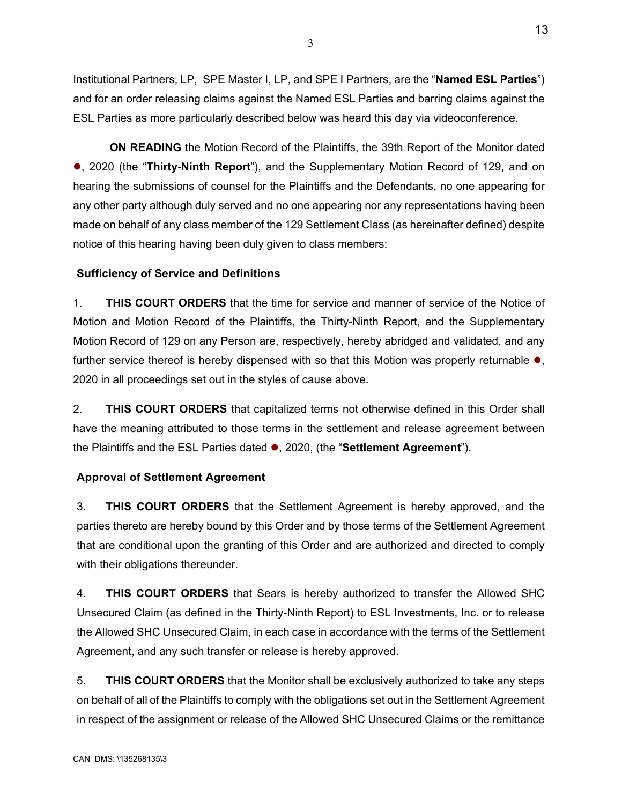Institutional Partners, LP, SPE Master I, LP, and SPE I Partners, are the "**Named ESL Parties**") and for an order releasing claims against the Named ESL Parties and barring claims against the ESL Parties as more particularly described below was heard this day via videoconference.

**ON READING** the Motion Record of the Plaintiffs, the 39th Report of the Monitor dated , 2020 (the "**Thirty-Ninth Report**"), and the Supplementary Motion Record of 129, and on hearing the submissions of counsel for the Plaintiffs and the Defendants, no one appearing for any other party although duly served and no one appearing nor any representations having been made on behalf of any class member of the 129 Settlement Class (as hereinafter defined) despite notice of this hearing having been duly given to class members:

## **Sufficiency of Service and Definitions**

1. **THIS COURT ORDERS** that the time for service and manner of service of the Notice of Motion and Motion Record of the Plaintiffs, the Thirty-Ninth Report, and the Supplementary Motion Record of 129 on any Person are, respectively, hereby abridged and validated, and any further service thereof is hereby dispensed with so that this Motion was properly returnable  $\bullet$ , 2020 in all proceedings set out in the styles of cause above.

2. **THIS COURT ORDERS** that capitalized terms not otherwise defined in this Order shall have the meaning attributed to those terms in the settlement and release agreement between the Plaintiffs and the ESL Parties dated  $\bullet$ , 2020, (the "**Settlement Agreement**").

## **Approval of Settlement Agreement**

3. **THIS COURT ORDERS** that the Settlement Agreement is hereby approved, and the parties thereto are hereby bound by this Order and by those terms of the Settlement Agreement that are conditional upon the granting of this Order and are authorized and directed to comply with their obligations thereunder.

4. **THIS COURT ORDERS** that Sears is hereby authorized to transfer the Allowed SHC Unsecured Claim (as defined in the Thirty-Ninth Report) to ESL Investments, Inc. or to release the Allowed SHC Unsecured Claim, in each case in accordance with the terms of the Settlement Agreement, and any such transfer or release is hereby approved.

5. **THIS COURT ORDERS** that the Monitor shall be exclusively authorized to take any steps on behalf of all of the Plaintiffs to comply with the obligations set out in the Settlement Agreement in respect of the assignment or release of the Allowed SHC Unsecured Claims or the remittance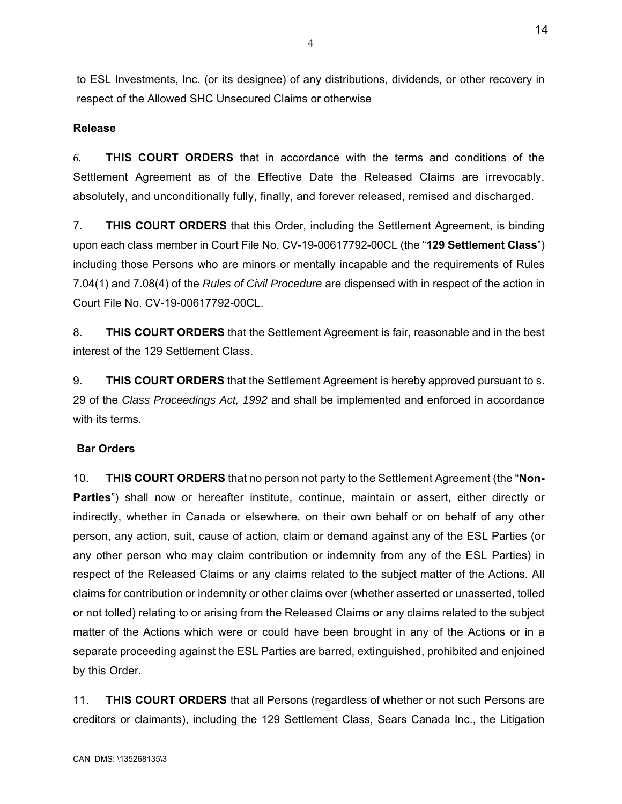to ESL Investments, Inc. (or its designee) of any distributions, dividends, or other recovery in respect of the Allowed SHC Unsecured Claims or otherwise

## **Release**

*6.* **THIS COURT ORDERS** that in accordance with the terms and conditions of the Settlement Agreement as of the Effective Date the Released Claims are irrevocably, absolutely, and unconditionally fully, finally, and forever released, remised and discharged.

7. **THIS COURT ORDERS** that this Order, including the Settlement Agreement, is binding upon each class member in Court File No. CV-19-00617792-00CL (the "**129 Settlement Class**") including those Persons who are minors or mentally incapable and the requirements of Rules 7.04(1) and 7.08(4) of the *Rules of Civil Procedure* are dispensed with in respect of the action in Court File No. CV-19-00617792-00CL.

8. **THIS COURT ORDERS** that the Settlement Agreement is fair, reasonable and in the best interest of the 129 Settlement Class.

9. **THIS COURT ORDERS** that the Settlement Agreement is hereby approved pursuant to s. 29 of the *Class Proceedings Act, 1992* and shall be implemented and enforced in accordance with its terms.

## **Bar Orders**

10. **THIS COURT ORDERS** that no person not party to the Settlement Agreement (the "**Non-**Parties") shall now or hereafter institute, continue, maintain or assert, either directly or indirectly, whether in Canada or elsewhere, on their own behalf or on behalf of any other person, any action, suit, cause of action, claim or demand against any of the ESL Parties (or any other person who may claim contribution or indemnity from any of the ESL Parties) in respect of the Released Claims or any claims related to the subject matter of the Actions. All claims for contribution or indemnity or other claims over (whether asserted or unasserted, tolled or not tolled) relating to or arising from the Released Claims or any claims related to the subject matter of the Actions which were or could have been brought in any of the Actions or in a separate proceeding against the ESL Parties are barred, extinguished, prohibited and enjoined by this Order.

11. **THIS COURT ORDERS** that all Persons (regardless of whether or not such Persons are creditors or claimants), including the 129 Settlement Class, Sears Canada Inc., the Litigation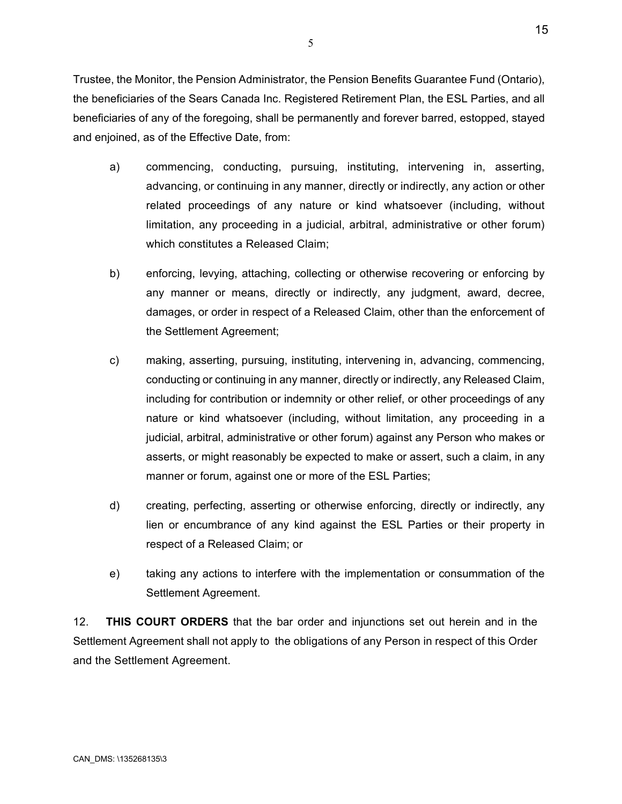Trustee, the Monitor, the Pension Administrator, the Pension Benefits Guarantee Fund (Ontario), the beneficiaries of the Sears Canada Inc. Registered Retirement Plan, the ESL Parties, and all beneficiaries of any of the foregoing, shall be permanently and forever barred, estopped, stayed and enjoined, as of the Effective Date, from:

- a) commencing, conducting, pursuing, instituting, intervening in, asserting, advancing, or continuing in any manner, directly or indirectly, any action or other related proceedings of any nature or kind whatsoever (including, without limitation, any proceeding in a judicial, arbitral, administrative or other forum) which constitutes a Released Claim;
- b) enforcing, levying, attaching, collecting or otherwise recovering or enforcing by any manner or means, directly or indirectly, any judgment, award, decree, damages, or order in respect of a Released Claim, other than the enforcement of the Settlement Agreement;
- c) making, asserting, pursuing, instituting, intervening in, advancing, commencing, conducting or continuing in any manner, directly or indirectly, any Released Claim, including for contribution or indemnity or other relief, or other proceedings of any nature or kind whatsoever (including, without limitation, any proceeding in a judicial, arbitral, administrative or other forum) against any Person who makes or asserts, or might reasonably be expected to make or assert, such a claim, in any manner or forum, against one or more of the ESL Parties;
- d) creating, perfecting, asserting or otherwise enforcing, directly or indirectly, any lien or encumbrance of any kind against the ESL Parties or their property in respect of a Released Claim; or
- e) taking any actions to interfere with the implementation or consummation of the Settlement Agreement.

12. **THIS COURT ORDERS** that the bar order and injunctions set out herein and in the Settlement Agreement shall not apply to the obligations of any Person in respect of this Order and the Settlement Agreement.

15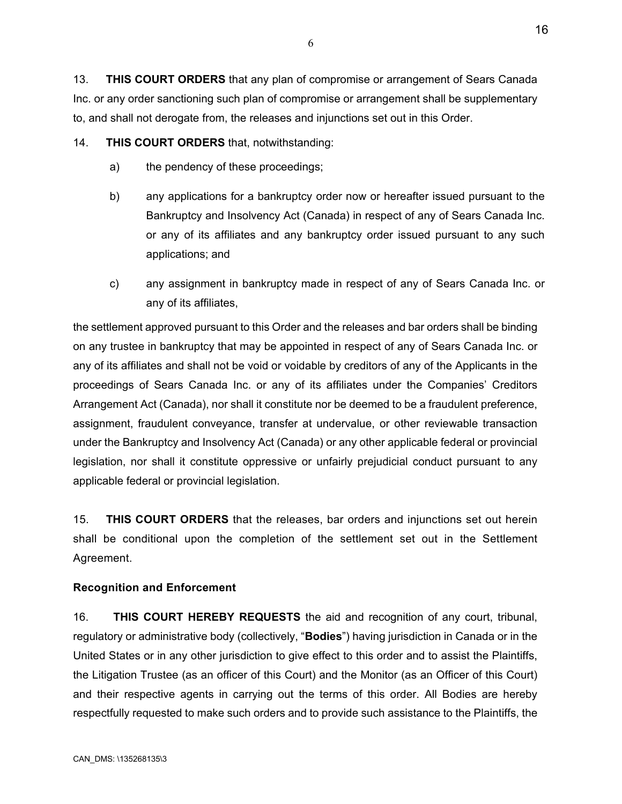16

13. **THIS COURT ORDERS** that any plan of compromise or arrangement of Sears Canada Inc. or any order sanctioning such plan of compromise or arrangement shall be supplementary to, and shall not derogate from, the releases and injunctions set out in this Order.

14. **THIS COURT ORDERS** that, notwithstanding:

- a) the pendency of these proceedings;
- b) any applications for a bankruptcy order now or hereafter issued pursuant to the Bankruptcy and Insolvency Act (Canada) in respect of any of Sears Canada Inc. or any of its affiliates and any bankruptcy order issued pursuant to any such applications; and
- c) any assignment in bankruptcy made in respect of any of Sears Canada Inc. or any of its affiliates,

the settlement approved pursuant to this Order and the releases and bar orders shall be binding on any trustee in bankruptcy that may be appointed in respect of any of Sears Canada Inc. or any of its affiliates and shall not be void or voidable by creditors of any of the Applicants in the proceedings of Sears Canada Inc. or any of its affiliates under the Companies' Creditors Arrangement Act (Canada), nor shall it constitute nor be deemed to be a fraudulent preference, assignment, fraudulent conveyance, transfer at undervalue, or other reviewable transaction under the Bankruptcy and Insolvency Act (Canada) or any other applicable federal or provincial legislation, nor shall it constitute oppressive or unfairly prejudicial conduct pursuant to any applicable federal or provincial legislation.

15. **THIS COURT ORDERS** that the releases, bar orders and injunctions set out herein shall be conditional upon the completion of the settlement set out in the Settlement Agreement.

## **Recognition and Enforcement**

16. **THIS COURT HEREBY REQUESTS** the aid and recognition of any court, tribunal, regulatory or administrative body (collectively, "**Bodies**") having jurisdiction in Canada or in the United States or in any other jurisdiction to give effect to this order and to assist the Plaintiffs, the Litigation Trustee (as an officer of this Court) and the Monitor (as an Officer of this Court) and their respective agents in carrying out the terms of this order. All Bodies are hereby respectfully requested to make such orders and to provide such assistance to the Plaintiffs, the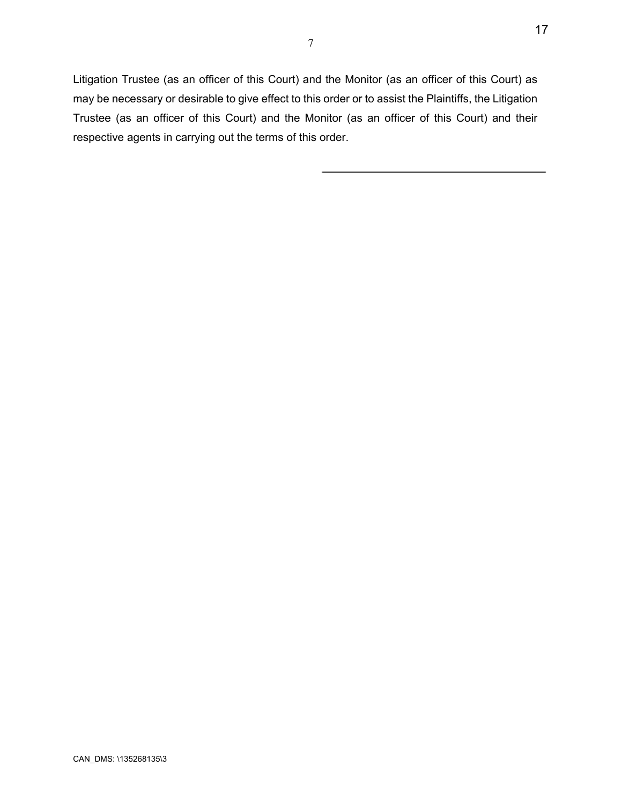Litigation Trustee (as an officer of this Court) and the Monitor (as an officer of this Court) as may be necessary or desirable to give effect to this order or to assist the Plaintiffs, the Litigation Trustee (as an officer of this Court) and the Monitor (as an officer of this Court) and their respective agents in carrying out the terms of this order.

7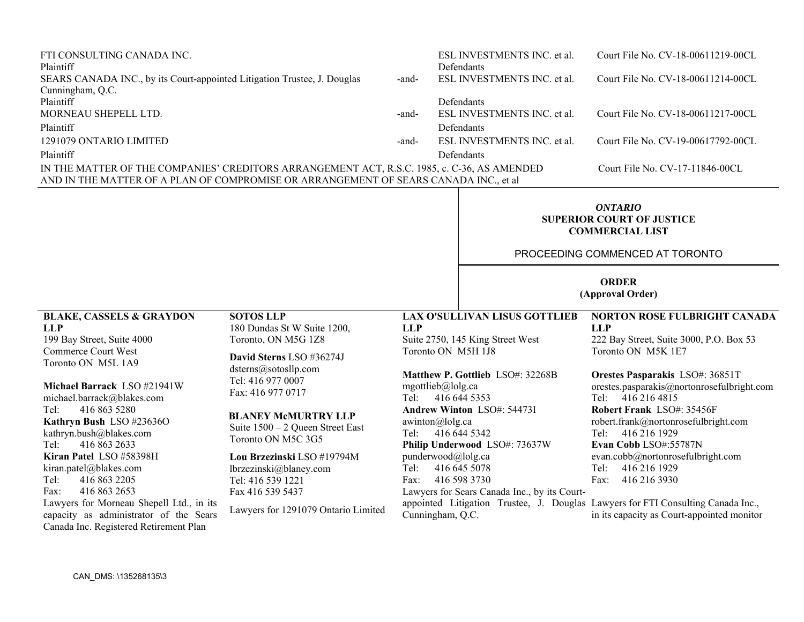| FTI CONSULTING CANADA INC.<br>Plaintiff<br>SEARS CANADA INC., by its Court-appointed Litigation Trustee, J. Douglas<br>Cunningham, Q.C.<br>Plaintiff<br>MORNEAU SHEPELL LTD.<br>Plaintiff<br>1291079 ONTARIO LIMITED                                                                                                                     |                                                                                                                                                                                                                                | -and-<br>-and-<br>-and-                                                           |                   | ESL INVESTMENTS INC. et al.<br>Defendants<br>ESL INVESTMENTS INC. et al.<br>Defendants<br>ESL INVESTMENTS INC. et al.<br>Defendants<br>ESL INVESTMENTS INC. et al. | Court File No. CV-18-00611219-00CL<br>Court File No. CV-18-00611214-00CL<br>Court File No. CV-18-00611217-00CL<br>Court File No. CV-19-00617792-00CL                                                                                                                                                                                      |  |
|------------------------------------------------------------------------------------------------------------------------------------------------------------------------------------------------------------------------------------------------------------------------------------------------------------------------------------------|--------------------------------------------------------------------------------------------------------------------------------------------------------------------------------------------------------------------------------|-----------------------------------------------------------------------------------|-------------------|--------------------------------------------------------------------------------------------------------------------------------------------------------------------|-------------------------------------------------------------------------------------------------------------------------------------------------------------------------------------------------------------------------------------------------------------------------------------------------------------------------------------------|--|
| Plaintiff                                                                                                                                                                                                                                                                                                                                |                                                                                                                                                                                                                                |                                                                                   | Defendants        |                                                                                                                                                                    |                                                                                                                                                                                                                                                                                                                                           |  |
| IN THE MATTER OF THE COMPANIES' CREDITORS ARRANGEMENT ACT, R.S.C. 1985, c. C-36, AS AMENDED<br>AND IN THE MATTER OF A PLAN OF COMPROMISE OR ARRANGEMENT OF SEARS CANADA INC., et al                                                                                                                                                      |                                                                                                                                                                                                                                |                                                                                   |                   |                                                                                                                                                                    | Court File No. CV-17-11846-00CL                                                                                                                                                                                                                                                                                                           |  |
|                                                                                                                                                                                                                                                                                                                                          |                                                                                                                                                                                                                                |                                                                                   |                   |                                                                                                                                                                    | <b>ONTARIO</b><br><b>SUPERIOR COURT OF JUSTICE</b><br><b>COMMERCIAL LIST</b><br>PROCEEDING COMMENCED AT TORONTO                                                                                                                                                                                                                           |  |
|                                                                                                                                                                                                                                                                                                                                          |                                                                                                                                                                                                                                |                                                                                   |                   |                                                                                                                                                                    | <b>ORDER</b><br>(Approval Order)                                                                                                                                                                                                                                                                                                          |  |
| <b>BLAKE, CASSELS &amp; GRAYDON</b><br><b>LLP</b>                                                                                                                                                                                                                                                                                        | <b>SOTOS LLP</b><br>180 Dundas St W Suite 1200,                                                                                                                                                                                | <b>LLP</b>                                                                        |                   | <b>LAX O'SULLIVAN LISUS GOTTLIEB</b>                                                                                                                               | <b>NORTON ROSE FULBRIGHT CANADA</b><br><b>LLP</b>                                                                                                                                                                                                                                                                                         |  |
| 199 Bay Street, Suite 4000<br><b>Commerce Court West</b><br>Toronto ON M5L 1A9                                                                                                                                                                                                                                                           | Toronto, ON M5G 1Z8<br>David Sterns LSO #36274J                                                                                                                                                                                |                                                                                   |                   | Suite 2750, 145 King Street West<br>Toronto ON M5H 1J8                                                                                                             | 222 Bay Street, Suite 3000, P.O. Box 53<br>Toronto ON M5K 1E7                                                                                                                                                                                                                                                                             |  |
| Michael Barrack LSO #21941W<br>michael.barrack@blakes.com                                                                                                                                                                                                                                                                                | dsterns@sotosllp.com<br>Tel: 416 977 0007<br>Fax: 416 977 0717<br>Tel:                                                                                                                                                         |                                                                                   | mgottlieb@lolg.ca | Matthew P. Gottlieb LSO#: 32268B<br>416 644 5353                                                                                                                   | Orestes Pasparakis LSO#: 36851T<br>orestes.pasparakis@nortonrosefulbright.com<br>Tel: 416 216 4815                                                                                                                                                                                                                                        |  |
| 416 863 5280<br>Tel:<br>Kathryn Bush LSO #23636O<br>kathryn.bush@blakes.com<br>416 863 2633<br>Tel:<br>Kiran Patel LSO #58398H<br>kiran.patel@blakes.com<br>416 863 2205<br>Tel:<br>416 863 2653<br>Fax:<br>Lawyers for Morneau Shepell Ltd., in its<br>capacity as administrator of the Sears<br>Canada Inc. Registered Retirement Plan | <b>BLANEY McMURTRY LLP</b><br>Suite $1500 - 2$ Queen Street East<br>Toronto ON M5C 3G5<br>Lou Brzezinski LSO #19794M<br>lbrzezinski@blaney.com<br>Tel: 416 539 1221<br>Fax 416 539 5437<br>Lawyers for 1291079 Ontario Limited | awinton@lolg.ca<br>Tel:<br>punderwood@lolg.ca<br>Tel:<br>Fax:<br>Cunningham, Q.C. |                   | Andrew Winton LSO#: 54473I<br>416 644 5342<br>Philip Underwood LSO#: 73637W<br>416 645 5078<br>416 598 3730<br>Lawyers for Sears Canada Inc., by its Court-        | Robert Frank LSO#: 35456F<br>robert.frank@nortonrosefulbright.com<br>416 216 1929<br>Tel:<br>Evan Cobb LSO#:55787N<br>evan.cobb@nortonrosefulbright.com<br>Tel:<br>416 216 1929<br>416 216 3930<br>Fax:<br>appointed Litigation Trustee, J. Douglas Lawyers for FTI Consulting Canada Inc.,<br>in its capacity as Court-appointed monitor |  |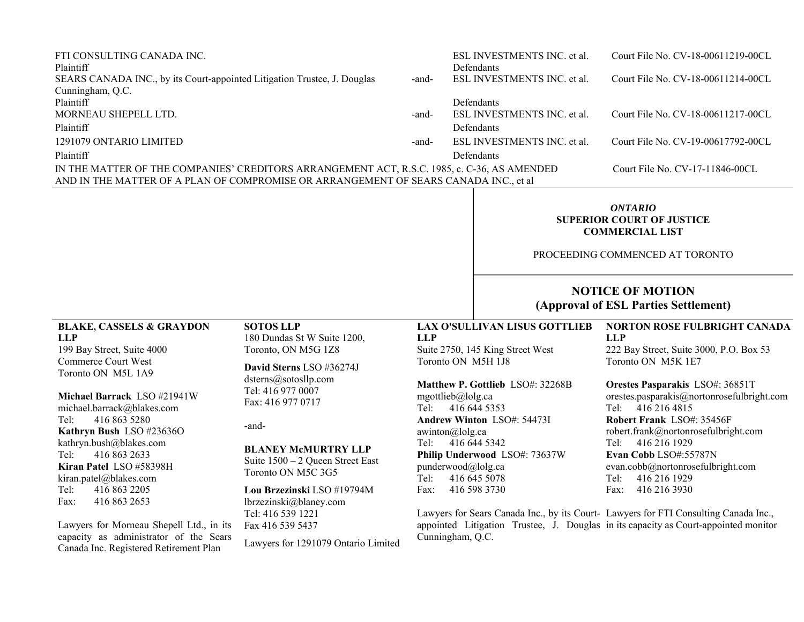| FTI CONSULTING CANADA INC.<br>Plaintiff                                                     |                                     | ESL INVESTMENTS INC. et al.<br>Court File No. CV-18-00611219-00CL<br>Defendants |                                                                   |                                      |                                                                                      |  |
|---------------------------------------------------------------------------------------------|-------------------------------------|---------------------------------------------------------------------------------|-------------------------------------------------------------------|--------------------------------------|--------------------------------------------------------------------------------------|--|
| SEARS CANADA INC., by its Court-appointed Litigation Trustee, J. Douglas                    | -and-                               |                                                                                 | ESL INVESTMENTS INC. et al.                                       | Court File No. CV-18-00611214-00CL   |                                                                                      |  |
| Cunningham, Q.C.<br>Plaintiff                                                               |                                     |                                                                                 | Defendants                                                        |                                      |                                                                                      |  |
| MORNEAU SHEPELL LTD.                                                                        |                                     | -and-                                                                           |                                                                   | ESL INVESTMENTS INC. et al.          | Court File No. CV-18-00611217-00CL                                                   |  |
| Plaintiff                                                                                   |                                     |                                                                                 | Defendants                                                        |                                      |                                                                                      |  |
| 1291079 ONTARIO LIMITED                                                                     |                                     | -and-                                                                           | ESL INVESTMENTS INC. et al.<br>Court File No. CV-19-00617792-00CL |                                      |                                                                                      |  |
| Plaintiff                                                                                   |                                     | Defendants                                                                      |                                                                   |                                      |                                                                                      |  |
| IN THE MATTER OF THE COMPANIES' CREDITORS ARRANGEMENT ACT, R.S.C. 1985, c. C-36, AS AMENDED |                                     |                                                                                 |                                                                   |                                      | Court File No. CV-17-11846-00CL                                                      |  |
| AND IN THE MATTER OF A PLAN OF COMPROMISE OR ARRANGEMENT OF SEARS CANADA INC., et al        |                                     |                                                                                 |                                                                   |                                      |                                                                                      |  |
|                                                                                             |                                     |                                                                                 |                                                                   |                                      | <b>ONTARIO</b>                                                                       |  |
|                                                                                             |                                     |                                                                                 |                                                                   |                                      | <b>SUPERIOR COURT OF JUSTICE</b>                                                     |  |
|                                                                                             |                                     |                                                                                 |                                                                   |                                      | <b>COMMERCIAL LIST</b>                                                               |  |
|                                                                                             |                                     |                                                                                 |                                                                   |                                      |                                                                                      |  |
|                                                                                             |                                     |                                                                                 |                                                                   |                                      | PROCEEDING COMMENCED AT TORONTO                                                      |  |
|                                                                                             |                                     |                                                                                 |                                                                   |                                      |                                                                                      |  |
|                                                                                             |                                     |                                                                                 |                                                                   |                                      | <b>NOTICE OF MOTION</b>                                                              |  |
|                                                                                             |                                     |                                                                                 |                                                                   |                                      | (Approval of ESL Parties Settlement)                                                 |  |
|                                                                                             |                                     |                                                                                 |                                                                   |                                      |                                                                                      |  |
| <b>BLAKE, CASSELS &amp; GRAYDON</b>                                                         | <b>SOTOS LLP</b>                    |                                                                                 |                                                                   | <b>LAX O'SULLIVAN LISUS GOTTLIEB</b> | NORTON ROSE FULBRIGHT CANADA                                                         |  |
| <b>LLP</b>                                                                                  | 180 Dundas St W Suite 1200,         | <b>LLP</b>                                                                      |                                                                   |                                      | <b>LLP</b>                                                                           |  |
| 199 Bay Street, Suite 4000                                                                  | Toronto, ON M5G 1Z8                 |                                                                                 |                                                                   | Suite 2750, 145 King Street West     | 222 Bay Street, Suite 3000, P.O. Box 53                                              |  |
| <b>Commerce Court West</b>                                                                  | David Sterns LSO #36274J            |                                                                                 |                                                                   | Toronto ON M5H 1J8                   | Toronto ON M5K 1E7                                                                   |  |
| Toronto ON M5L 1A9                                                                          | dsterns@sotosllp.com                |                                                                                 |                                                                   |                                      |                                                                                      |  |
|                                                                                             | Tel: 416 977 0007                   |                                                                                 |                                                                   | Matthew P. Gottlieb LSO#: 32268B     | Orestes Pasparakis LSO#: 36851T                                                      |  |
| Michael Barrack LSO #21941W                                                                 | Fax: 416 977 0717                   |                                                                                 | mgottlieb@lolg.ca                                                 |                                      | orestes.pasparakis@nortonrosefulbright.com                                           |  |
| michael.barrack@blakes.com                                                                  |                                     | Tel:                                                                            |                                                                   | 416 644 5353                         | Tel: 416 216 4815                                                                    |  |
| 416 863 5280<br>Tel:                                                                        | -and-                               |                                                                                 |                                                                   | Andrew Winton LSO#: 54473I           | Robert Frank LSO#: 35456F                                                            |  |
| Kathryn Bush LSO #236360                                                                    |                                     | Tel:                                                                            | awinton@lolg.ca                                                   | 416 644 5342                         | robert.frank@nortonrosefulbright.com<br>416 216 1929<br>Tel:                         |  |
| kathryn.bush@blakes.com<br>Tel:<br>416 863 2633                                             | <b>BLANEY McMURTRY LLP</b>          |                                                                                 |                                                                   | Philip Underwood LSO#: 73637W        | Evan Cobb LSO#:55787N                                                                |  |
| Kiran Patel LSO #58398H                                                                     | Suite 1500 - 2 Queen Street East    |                                                                                 |                                                                   | punderwood@lolg.ca                   | evan.cobb@nortonrosefulbright.com                                                    |  |
| kiran.patel@blakes.com                                                                      | Toronto ON M5C 3G5                  | Tel:                                                                            |                                                                   | 416 645 5078                         | 416 216 1929<br>Tel:                                                                 |  |
| Tel:<br>416 863 2205                                                                        | Lou Brzezinski LSO #19794M          | Fax:                                                                            |                                                                   | 416 598 3730                         | 416 216 3930<br>Fax:                                                                 |  |
| 416 863 2653<br>Fax:                                                                        | lbrzezinski@blaney.com              |                                                                                 |                                                                   |                                      |                                                                                      |  |
|                                                                                             | Tel: 416 539 1221                   |                                                                                 |                                                                   |                                      | Lawyers for Sears Canada Inc., by its Court- Lawyers for FTI Consulting Canada Inc., |  |
| Lawyers for Morneau Shepell Ltd., in its                                                    | Fax 416 539 5437                    |                                                                                 |                                                                   |                                      | appointed Litigation Trustee, J. Douglas in its capacity as Court-appointed monitor  |  |
| capacity as administrator of the Sears<br>Canada Inc. Registered Retirement Plan            | Lawyers for 1291079 Ontario Limited |                                                                                 | Cunningham, Q.C.                                                  |                                      |                                                                                      |  |